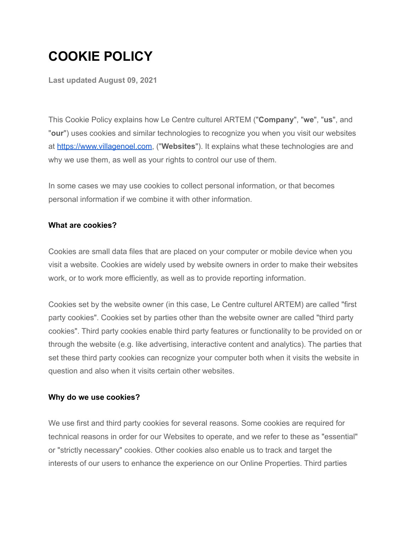# **COOKIE POLICY**

**Last updated August 09, 2021**

This Cookie Policy explains how Le Centre culturel ARTEM ("**Company**", "**we**", "**us**", and "**our**") uses cookies and similar technologies to recognize you when you visit our websites at [https://www.villagenoel.com,](https://www.villagenoel.com) ("**Websites**"). It explains what these technologies are and why we use them, as well as your rights to control our use of them.

In some cases we may use cookies to collect personal information, or that becomes personal information if we combine it with other information.

### **What are cookies?**

Cookies are small data files that are placed on your computer or mobile device when you visit a website. Cookies are widely used by website owners in order to make their websites work, or to work more efficiently, as well as to provide reporting information.

Cookies set by the website owner (in this case, Le Centre culturel ARTEM) are called "first party cookies". Cookies set by parties other than the website owner are called "third party cookies". Third party cookies enable third party features or functionality to be provided on or through the website (e.g. like advertising, interactive content and analytics). The parties that set these third party cookies can recognize your computer both when it visits the website in question and also when it visits certain other websites.

## **Why do we use cookies?**

We use first and third party cookies for several reasons. Some cookies are required for technical reasons in order for our Websites to operate, and we refer to these as "essential" or "strictly necessary" cookies. Other cookies also enable us to track and target the interests of our users to enhance the experience on our Online Properties. Third parties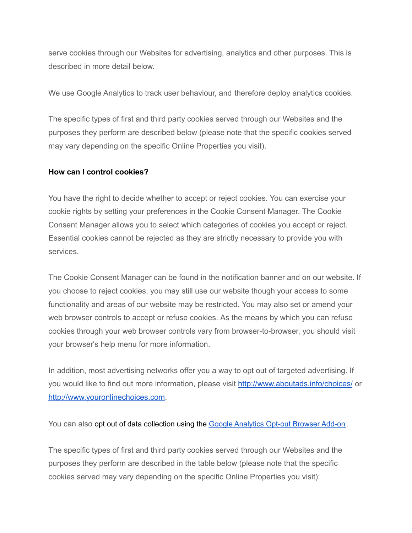serve cookies through our Websites for advertising, analytics and other purposes. This is described in more detail below.

We use Google Analytics to track user behaviour, and therefore deploy analytics cookies.

The specific types of first and third party cookies served through our Websites and the purposes they perform are described below (please note that the specific cookies served may vary depending on the specific Online Properties you visit).

### **How can I control cookies?**

You have the right to decide whether to accept or reject cookies. You can exercise your cookie rights by setting your preferences in the Cookie Consent Manager. The Cookie Consent Manager allows you to select which categories of cookies you accept or reject. Essential cookies cannot be rejected as they are strictly necessary to provide you with services.

The Cookie Consent Manager can be found in the notification banner and on our website. If you choose to reject cookies, you may still use our website though your access to some functionality and areas of our website may be restricted. You may also set or amend your web browser controls to accept or refuse cookies. As the means by which you can refuse cookies through your web browser controls vary from browser-to-browser, you should visit your browser's help menu for more information.

In addition, most advertising networks offer you a way to opt out of targeted advertising. If you would like to find out more information, please visit <http://www.aboutads.info/choices/> or <http://www.youronlinechoices.com>.

You can also opt out of data collection using the Google [Analytics](https://tools.google.com/dlpage/gaoptout/?hl=en-GB) Opt-out Browser Add-on.

The specific types of first and third party cookies served through our Websites and the purposes they perform are described in the table below (please note that the specific cookies served may vary depending on the specific Online Properties you visit):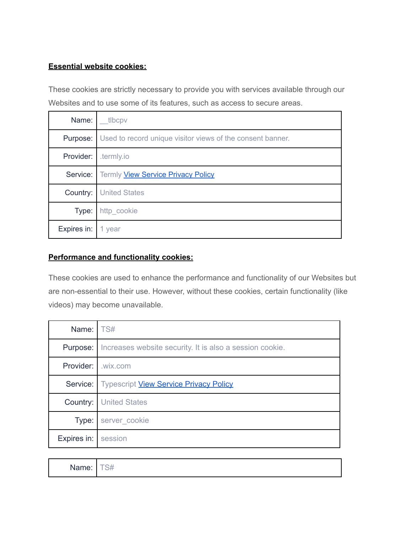## **Essential website cookies:**

These cookies are strictly necessary to provide you with services available through our Websites and to use some of its features, such as access to secure areas.

| Name:       | tlbcpv                                                     |
|-------------|------------------------------------------------------------|
| Purpose:    | Used to record unique visitor views of the consent banner. |
| Provider:   | .termly.io                                                 |
|             | Service:   Termly View Service Privacy Policy              |
|             | <b>Country:</b> United States                              |
| Type:       | http_cookie                                                |
| Expires in: | 1 year                                                     |

# **Performance and functionality cookies:**

These cookies are used to enhance the performance and functionality of our Websites but are non-essential to their use. However, without these cookies, certain functionality (like videos) may become unavailable.

| Name: $\sqrt{S#}$  |                                                                 |
|--------------------|-----------------------------------------------------------------|
| Purpose:           | Increases website security. It is also a session cookie.        |
| Provider: Lwix.com |                                                                 |
|                    | <b>Service:</b>   Typescript <b>View Service Privacy Policy</b> |
| Country:           | <b>United States</b>                                            |
| Type:              | server cookie                                                   |
| Expires in:        | session                                                         |

| $\cdots$ |  |  |  |
|----------|--|--|--|
|----------|--|--|--|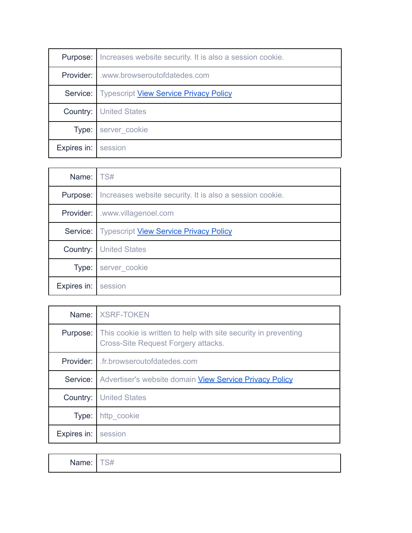| Purpose:    | Increases website security. It is also a session cookie.        |
|-------------|-----------------------------------------------------------------|
| Provider: I | www.browseroutofdatedes.com                                     |
|             | <b>Service:</b>   Typescript <b>View Service Privacy Policy</b> |
|             | <b>Country:   United States</b>                                 |
| Type:       | server_cookie                                                   |
| Expires in: | session                                                         |

| Name:       | TS#                                                      |
|-------------|----------------------------------------------------------|
| Purpose:    | Increases website security. It is also a session cookie. |
| Provider:   | .www.villagenoel.com                                     |
| Service:    | <b>Typescript View Service Privacy Policy</b>            |
| Country:    | <b>United States</b>                                     |
| Type:       | server cookie                                            |
| Expires in: | session                                                  |

|             | Name: XSRF-TOKEN                                                                                                       |
|-------------|------------------------------------------------------------------------------------------------------------------------|
|             | <b>Purpose:</b> This cookie is written to help with site security in preventing<br>Cross-Site Request Forgery attacks. |
| Provider:   | .fr.browseroutofdatedes.com                                                                                            |
| Service:    | Advertiser's website domain <b>View Service Privacy Policy</b>                                                         |
| Country:    | <b>United States</b>                                                                                                   |
| Type:       | http cookie                                                                                                            |
| Expires in: | session                                                                                                                |

| . .   | -- |
|-------|----|
| Name: | S7 |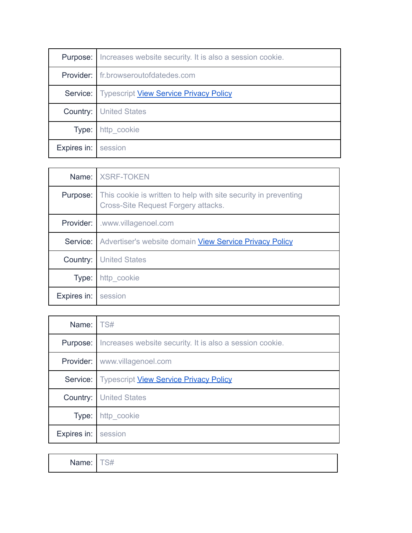| Purpose:    | Increases website security. It is also a session cookie. |
|-------------|----------------------------------------------------------|
|             | Provider:   fr.browseroutofdatedes.com                   |
|             | Service:   Typescript View Service Privacy Policy        |
|             | <b>Country:</b> United States                            |
| Type:       | http_cookie                                              |
| Expires in: | session                                                  |

|             | Name:   XSRF-TOKEN                                                                                            |
|-------------|---------------------------------------------------------------------------------------------------------------|
| Purpose:    | This cookie is written to help with site security in preventing<br><b>Cross-Site Request Forgery attacks.</b> |
| Provider:   | .www.villagenoel.com                                                                                          |
|             | Service:   Advertiser's website domain View Service Privacy Policy                                            |
| Country:    | <b>United States</b>                                                                                          |
| Type:       | http cookie                                                                                                   |
| Expires in: | session                                                                                                       |

| Name: TS#   |                                                          |
|-------------|----------------------------------------------------------|
| Purpose:    | Increases website security. It is also a session cookie. |
|             | <b>Provider:</b> www.villagenoel.com                     |
| Service:    | <b>Typescript View Service Privacy Policy</b>            |
| Country:    | <b>United States</b>                                     |
| Type:       | http_cookie                                              |
| Expires in: | session                                                  |

| Name: | $ \sim$ $\mu$<br>S# |
|-------|---------------------|
|-------|---------------------|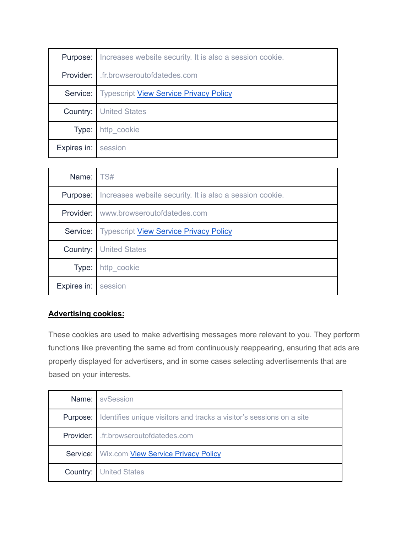| Purpose:    | Increases website security. It is also a session cookie.      |
|-------------|---------------------------------------------------------------|
|             | <b>Provider:</b> I fr.browseroutofdatedes.com                 |
|             | <b>Service:</b> Typescript <b>View Service Privacy Policy</b> |
|             | <b>Country:   United States</b>                               |
| Type:       | http cookie                                                   |
| Expires in: | session                                                       |

| Name:       | TS#                                                      |
|-------------|----------------------------------------------------------|
| Purpose:    | Increases website security. It is also a session cookie. |
|             | <b>Provider:</b> www.browseroutofdatedes.com             |
| Service:    | <b>Typescript View Service Privacy Policy</b>            |
| Country:    | <b>United States</b>                                     |
| Type:       | http_cookie                                              |
| Expires in: | session                                                  |

# **Advertising cookies:**

These cookies are used to make advertising messages more relevant to you. They perform functions like preventing the same ad from continuously reappearing, ensuring that ads are properly displayed for advertisers, and in some cases selecting advertisements that are based on your interests.

| Name:    | sySession                                                            |
|----------|----------------------------------------------------------------------|
| Purpose: | Identifies unique visitors and tracks a visitor's sessions on a site |
|          | Provider:   .fr.browseroutofdatedes.com                              |
|          | Service:   Wix.com View Service Privacy Policy                       |
| Country: | <b>United States</b>                                                 |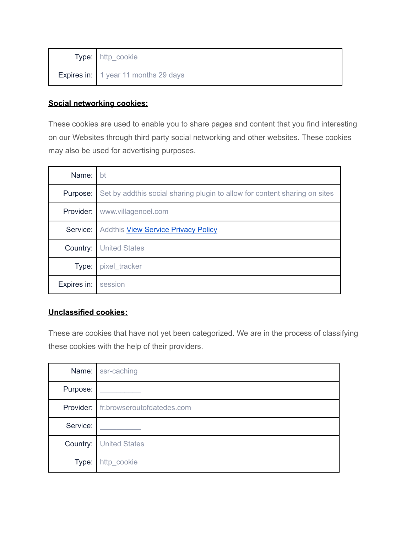| Type: http_cookie                      |
|----------------------------------------|
| Expires in:   1 year 11 months 29 days |

# **Social networking cookies:**

These cookies are used to enable you to share pages and content that you find interesting on our Websites through third party social networking and other websites. These cookies may also be used for advertising purposes.

| Name:       | bt                                                                         |
|-------------|----------------------------------------------------------------------------|
| Purpose:    | Set by addthis social sharing plugin to allow for content sharing on sites |
| Provider:   | www.villagenoel.com                                                        |
| Service:    | Addthis <b>View Service Privacy Policy</b>                                 |
| Country:    | <b>United States</b>                                                       |
| Type:       | pixel tracker                                                              |
| Expires in: | session                                                                    |

# **Unclassified cookies:**

These are cookies that have not yet been categorized. We are in the process of classifying these cookies with the help of their providers.

|          | Name: ssr-caching                           |
|----------|---------------------------------------------|
| Purpose: |                                             |
|          | <b>Provider:</b> fr.browseroutofdatedes.com |
| Service: |                                             |
|          | <b>Country:</b> United States               |
| Type:    | http_cookie                                 |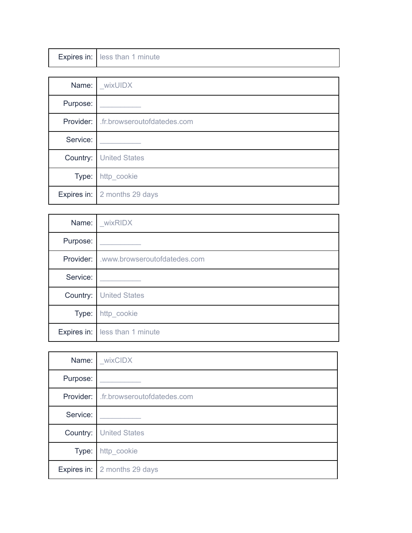|  | Expires in: less than 1 minute |
|--|--------------------------------|
|--|--------------------------------|

| Name:    | _wixUIDX                                      |
|----------|-----------------------------------------------|
| Purpose: |                                               |
|          | <b>Provider:</b>   fr.browseroutofdatedes.com |
| Service: |                                               |
|          | <b>Country:</b> United States                 |
| Type:    | http_cookie                                   |
|          | Expires in:   2 months 29 days                |

| Name:    | wixRIDX                                  |
|----------|------------------------------------------|
| Purpose: |                                          |
|          | Provider:   .www.browseroutofdatedes.com |
| Service: |                                          |
| Country: | <b>United States</b>                     |
| Type:    | http_cookie                              |
|          | Expires in: less than 1 minute           |

| Name:     | wixCIDX                        |
|-----------|--------------------------------|
| Purpose:  |                                |
| Provider: | .fr.browseroutofdatedes.com    |
| Service:  |                                |
| Country:  | <b>United States</b>           |
| Type:     | http_cookie                    |
|           | Expires in:   2 months 29 days |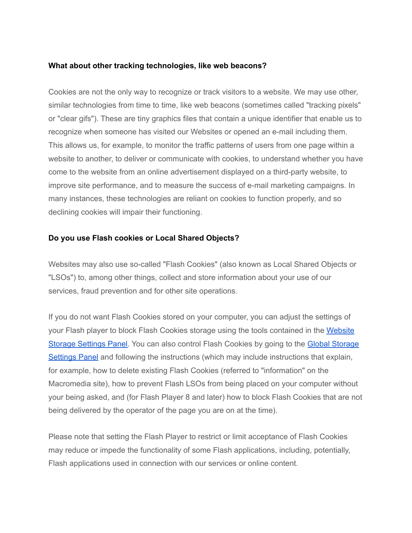#### **What about other tracking technologies, like web beacons?**

Cookies are not the only way to recognize or track visitors to a website. We may use other, similar technologies from time to time, like web beacons (sometimes called "tracking pixels" or "clear gifs"). These are tiny graphics files that contain a unique identifier that enable us to recognize when someone has visited our Websites or opened an e-mail including them. This allows us, for example, to monitor the traffic patterns of users from one page within a website to another, to deliver or communicate with cookies, to understand whether you have come to the website from an online advertisement displayed on a third-party website, to improve site performance, and to measure the success of e-mail marketing campaigns. In many instances, these technologies are reliant on cookies to function properly, and so declining cookies will impair their functioning.

#### **Do you use Flash cookies or Local Shared Objects?**

Websites may also use so-called "Flash Cookies" (also known as Local Shared Objects or "LSOs") to, among other things, collect and store information about your use of our services, fraud prevention and for other site operations.

If you do not want Flash Cookies stored on your computer, you can adjust the settings of your Flash player to block Flash Cookies storage using the tools contained in the [Website](http://www.macromedia.com/support/documentation/en/flashplayer/help/settings_manager07.html) Storage [Settings](http://www.macromedia.com/support/documentation/en/flashplayer/help/settings_manager07.html) Panel. You can also control Flash Cookies by going to the Global [Storage](http://www.macromedia.com/support/documentation/en/flashplayer/help/settings_manager03.html) [Settings](http://www.macromedia.com/support/documentation/en/flashplayer/help/settings_manager03.html) Panel and following the instructions (which may include instructions that explain, for example, how to delete existing Flash Cookies (referred to "information" on the Macromedia site), how to prevent Flash LSOs from being placed on your computer without your being asked, and (for Flash Player 8 and later) how to block Flash Cookies that are not being delivered by the operator of the page you are on at the time).

Please note that setting the Flash Player to restrict or limit acceptance of Flash Cookies may reduce or impede the functionality of some Flash applications, including, potentially, Flash applications used in connection with our services or online content.